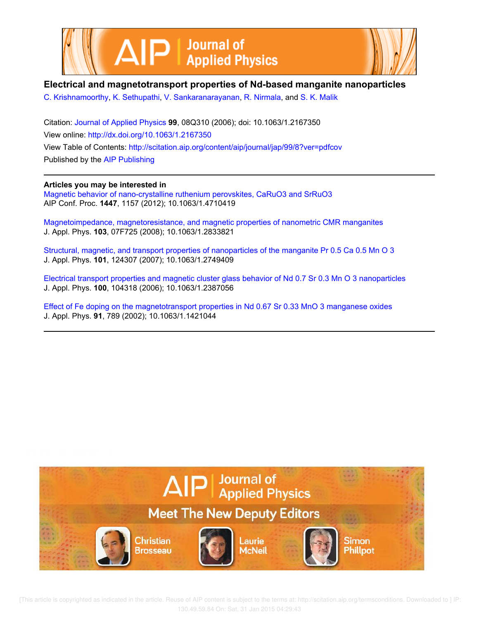

## **Electrical and magnetotransport properties of Nd-based manganite nanoparticles**

C. Krishnamoorthy, K. Sethupathi, V. Sankaranarayanan, R. Nirmala, and S. K. Malik

Citation: Journal of Applied Physics **99**, 08Q310 (2006); doi: 10.1063/1.2167350 View online: http://dx.doi.org/10.1063/1.2167350 View Table of Contents: http://scitation.aip.org/content/aip/journal/jap/99/8?ver=pdfcov Published by the AIP Publishing

**Articles you may be interested in**

Magnetic behavior of nano-crystalline ruthenium perovskites, CaRuO3 and SrRuO3 AIP Conf. Proc. **1447**, 1157 (2012); 10.1063/1.4710419

Magnetoimpedance, magnetoresistance, and magnetic properties of nanometric CMR manganites J. Appl. Phys. **103**, 07F725 (2008); 10.1063/1.2833821

Structural, magnetic, and transport properties of nanoparticles of the manganite Pr 0.5 Ca 0.5 Mn O 3 J. Appl. Phys. **101**, 124307 (2007); 10.1063/1.2749409

Electrical transport properties and magnetic cluster glass behavior of Nd 0.7 Sr 0.3 Mn O 3 nanoparticles J. Appl. Phys. **100**, 104318 (2006); 10.1063/1.2387056

Effect of Fe doping on the magnetotransport properties in Nd 0.67 Sr 0.33 MnO 3 manganese oxides J. Appl. Phys. **91**, 789 (2002); 10.1063/1.1421044



 [This article is copyrighted as indicated in the article. Reuse of AIP content is subject to the terms at: http://scitation.aip.org/termsconditions. Downloaded to ] IP: 130.49.59.84 On: Sat, 31 Jan 2015 04:29:43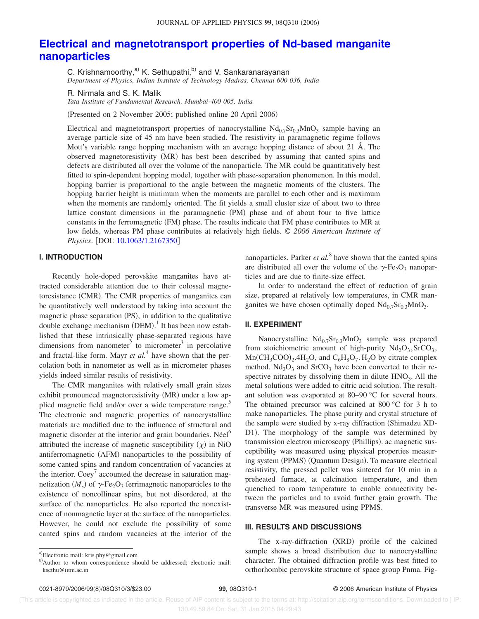# **Electrical and magnetotransport properties of Nd-based manganite nanoparticles**

C. Krishnamoorthy,<sup>a)</sup> K. Sethupathi,<sup>b)</sup> and V. Sankaranarayanan *Department of Physics, Indian Institute of Technology Madras, Chennai 600 036, India*

R. Nirmala and S. K. Malik

*Tata Institute of Fundamental Research, Mumbai-400 005, India*

(Presented on 2 November 2005; published online 20 April 2006)

Electrical and magnetotransport properties of nanocrystalline  $Nd_{0.7}Sr_{0.3}MnO_3$  sample having an average particle size of 45 nm have been studied. The resistivity in paramagnetic regime follows Mott's variable range hopping mechanism with an average hopping distance of about 21 Å. The observed magnetoresistivity (MR) has best been described by assuming that canted spins and defects are distributed all over the volume of the nanoparticle. The MR could be quantitatively best fitted to spin-dependent hopping model, together with phase-separation phenomenon. In this model, hopping barrier is proportional to the angle between the magnetic moments of the clusters. The hopping barrier height is minimum when the moments are parallel to each other and is maximum when the moments are randomly oriented. The fit yields a small cluster size of about two to three lattice constant dimensions in the paramagnetic (PM) phase and of about four to five lattice constants in the ferromagnetic (FM) phase. The results indicate that FM phase contributes to MR at low fields, whereas PM phase contributes at relatively high fields. © *2006 American Institute of Physics.* [DOI: 10.1063/1.2167350]

### **I. INTRODUCTION**

Recently hole-doped perovskite manganites have attracted considerable attention due to their colossal magnetoresistance (CMR). The CMR properties of manganites can be quantitatively well understood by taking into account the magnetic phase separation (PS), in addition to the qualitative double exchange mechanism  $(DEM)_1$ <sup>1</sup> It has been now established that these intrinsically phase-separated regions have dimensions from nanometer<sup>2</sup> to micrometer<sup>3</sup> in percolative and fractal-like form. Mayr *et al*.<sup>4</sup> have shown that the percolation both in nanometer as well as in micrometer phases yields indeed similar results of resistivity.

The CMR manganites with relatively small grain sizes exhibit pronounced magnetoresistivity (MR) under a low applied magnetic field and/or over a wide temperature range.<sup>5</sup> The electronic and magnetic properties of nanocrystalline materials are modified due to the influence of structural and magnetic disorder at the interior and grain boundaries. Néel<sup>6</sup> attributed the increase of magnetic susceptibility  $(\chi)$  in NiO antiferromagnetic (AFM) nanoparticles to the possibility of some canted spins and random concentration of vacancies at the interior.  $Coey<sup>7</sup>$  accounted the decrease in saturation magnetization  $(M_s)$  of  $\gamma$ -Fe<sub>2</sub>O<sub>3</sub> ferrimagnetic nanoparticles to the existence of noncollinear spins, but not disordered, at the surface of the nanoparticles. He also reported the nonexistence of nonmagnetic layer at the surface of the nanoparticles. However, he could not exclude the possibility of some canted spins and random vacancies at the interior of the

nanoparticles. Parker *et al.*<sup>8</sup> have shown that the canted spins are distributed all over the volume of the  $\gamma$ -Fe<sub>2</sub>O<sub>3</sub> nanoparticles and are due to finite-size effect.

In order to understand the effect of reduction of grain size, prepared at relatively low temperatures, in CMR manganites we have chosen optimally doped  $Nd_{0.7}Sr_{0.3}MnO_3$ .

#### **II. EXPERIMENT**

Nanocrystalline  $Nd_{0.7}Sr_{0.3}MnO_3$  sample was prepared from stoichiometric amount of high-purity  $Nd_2O_3$ ,  $SrCO_3$ ,  $Mn(CH_3COO)_2.4H_2O$ , and  $C_6H_8O_7. H_2O$  by citrate complex method.  $Nd<sub>2</sub>O<sub>3</sub>$  and  $SrCO<sub>3</sub>$  have been converted to their respective nitrates by dissolving them in dilute  $HNO<sub>3</sub>$ . All the metal solutions were added to citric acid solution. The resultant solution was evaporated at 80–90 °C for several hours. The obtained precursor was calcined at 800 °C for 3 h to make nanoparticles. The phase purity and crystal structure of the sample were studied by x-ray diffraction (Shimadzu XD-D1). The morphology of the sample was determined by transmission electron microscopy (Phillips). ac magnetic susceptibility was measured using physical properties measuring system (PPMS) (Quantum Design). To measure electrical resistivity, the pressed pellet was sintered for 10 min in a preheated furnace, at calcination temperature, and then quenched to room temperature to enable connectivity between the particles and to avoid further grain growth. The transverse MR was measured using PPMS.

#### **III. RESULTS AND DISCUSSIONS**

The x-ray-diffraction (XRD) profile of the calcined sample shows a broad distribution due to nanocrystalline character. The obtained diffraction profile was best fitted to orthorhombic perovskite structure of space group Pnma. Fig-

a)Electronic mail: kris.phy@gmail.com

b)Author to whom correspondence should be addressed; electronic mail: ksethu@iitm.ac.in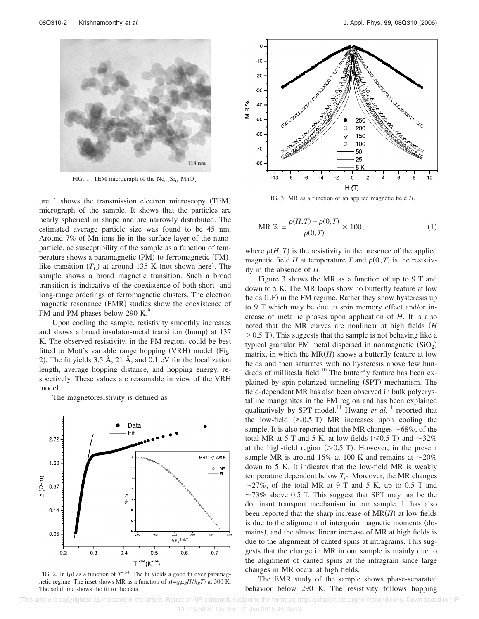

FIG. 1. TEM micrograph of the  $Nd_{0.7}Sr_{0.3}MnO_3$ .

ure 1 shows the transmission electron microscopy (TEM) micrograph of the sample. It shows that the particles are nearly spherical in shape and are narrowly distributed. The estimated average particle size was found to be 45 nm. Around 7% of Mn ions lie in the surface layer of the nanoparticle. ac susceptibility of the sample as a function of temperature shows a paramagnetic (PM)-to-ferromagnetic (FM)like transition  $(T_C)$  at around 135 K (not shown here). The sample shows a broad magnetic transition. Such a broad transition is indicative of the coexistence of both short- and long-range orderings of ferromagnetic clusters. The electron magnetic resonance (EMR) studies show the coexistence of FM and PM phases below 290 K.<sup>9</sup>

Upon cooling the sample, resistivity smoothly increases and shows a broad insulator-metal transition (hump) at 137 K. The observed resistivity, in the PM region, could be best fitted to Mott's variable range hopping (VRH) model (Fig. 2). The fit yields  $3.5 \text{ Å}$ ,  $21 \text{ Å}$ , and  $0.1 \text{ eV}$  for the localization length, average hopping distance, and hopping energy, respectively. These values are reasonable in view of the VRH model.

The magnetoresistivity is defined as



FIG. 2. In  $(\rho)$  as a function of  $T^{-1/4}$ . The fit yields a good fit over paramagnetic regime. The inset shows MR as a function of  $x(=g\mu_B H/k_B T)$  at 300 K. The solid line shows the fit to the data.



FIG. 3. MR as a function of an applied magnetic field *H*.

MR % = 
$$
\frac{\rho(H,T) - \rho(0,T)}{\rho(0,T)} \times 100,
$$
 (1)

where  $\rho(H, T)$  is the resistivity in the presence of the applied magnetic field *H* at temperature *T* and  $\rho(0,T)$  is the resistivity in the absence of *H*.

Figure 3 shows the MR as a function of up to 9 T and down to 5 K. The MR loops show no butterfly feature at low fields (LF) in the FM regime. Rather they show hysteresis up to 9 T which may be due to spin memory effect and/or increase of metallic phases upon application of *H*. It is also noted that the MR curves are nonlinear at high fields *H*  $>$  0.5 T). This suggests that the sample is not behaving like a typical granular FM metal dispersed in nonmagnetic  $(SiO<sub>2</sub>)$ matrix, in which the  $MR(H)$  shows a butterfly feature at low fields and then saturates with no hysteresis above few hundreds of millitesla field.<sup>10</sup> The butterfly feature has been explained by spin-polarized tunneling (SPT) mechanism. The field-dependent MR has also been observed in bulk polycrystalline manganites in the FM region and has been explained qualitatively by SPT model.<sup>11</sup> Hwang *et al.*<sup>11</sup> reported that the low-field  $(\leq 0.5 \text{ T})$  MR increases upon cooling the sample. It is also reported that the MR changes  $\sim 68\%$ , of the total MR at 5 T and 5 K, at low fields  $(\leq 0.5 \text{ T})$  and  $\sim 32\%$ at the high-field region  $(>0.5 T)$ . However, in the present sample MR is around 16% at 100 K and remains at  $\sim$ 20% down to 5 K. It indicates that the low-field MR is weakly temperature dependent below *TC*. Moreover, the MR changes  $\sim$ 27%, of the total MR at 9 T and 5 K, up to 0.5 T and  $\sim$ 73% above 0.5 T. This suggest that SPT may not be the dominant transport mechanism in our sample. It has also been reported that the sharp increase of  $MR(H)$  at low fields is due to the alignment of intergrain magnetic moments (domains), and the almost linear increase of MR at high fields is due to the alignment of canted spins at intragrains. This suggests that the change in MR in our sample is mainly due to the alignment of canted spins at the intragrain since large changes in MR occur at high fields.

The EMR study of the sample shows phase-separated behavior below 290 K. The resistivity follows hopping

 [This article is copyrighted as indicated in the article. Reuse of AIP content is subject to the terms at: http://scitation.aip.org/termsconditions. Downloaded to ] IP: 130.49.59.84 On: Sat, 31 Jan 2015 04:29:43